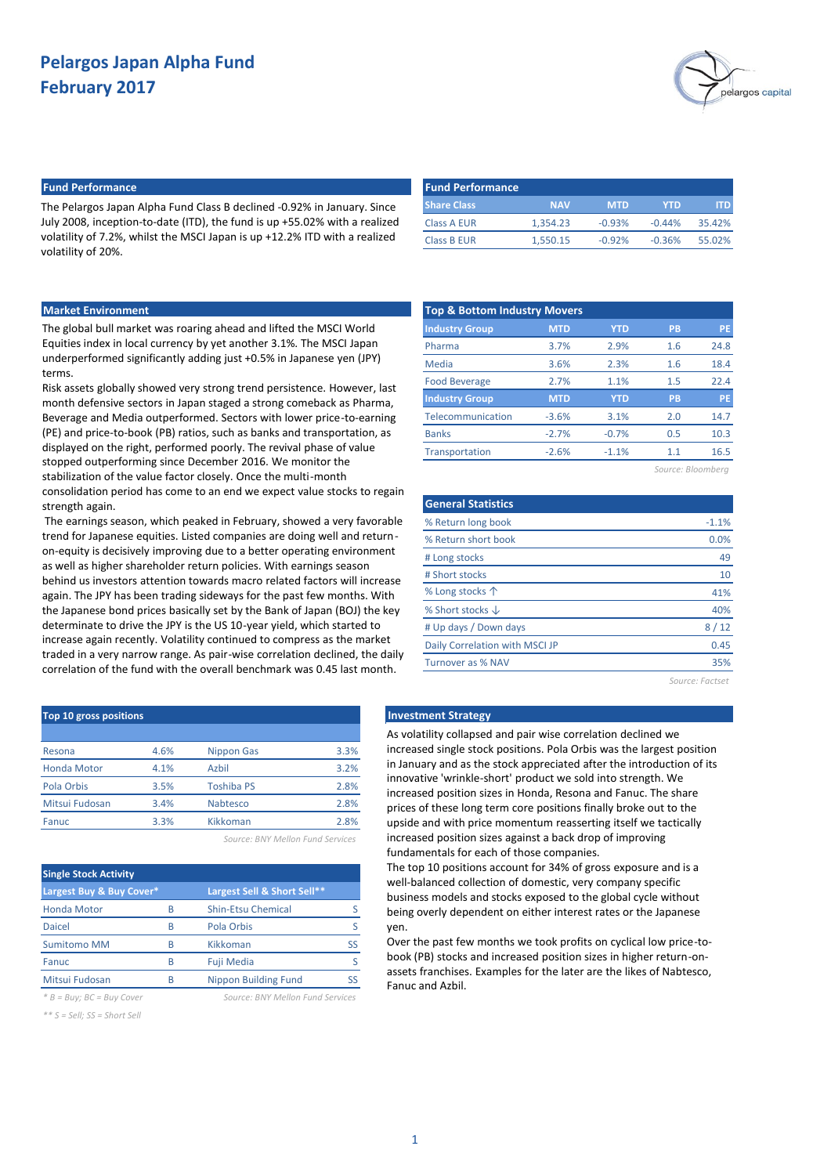

## **Fund Performance Fund Performance**

The Pelargos Japan Alpha Fund Class B declined -0.92% in January. Since July 2008, inception-to-date (ITD), the fund is up +55.02% with a realized volatility of 7.2%, whilst the MSCI Japan is up +12.2% ITD with a realized volatility of 20%.

| YTD<br><b>MTD</b>    |          |
|----------------------|----------|
|                      |          |
| $-0.93%$<br>$-0.44%$ | 35.42%   |
| $-0.36%$             | 55.02%   |
|                      | $-0.92%$ |

## **Market Environment**

The global bull market was roaring ahead and lifted the MSCI World Equities index in local currency by yet another 3.1%. The MSCI Japan underperformed significantly adding just +0.5% in Japanese yen (JPY) terms.

Risk assets globally showed very strong trend persistence. However, last month defensive sectors in Japan staged a strong comeback as Pharma, Beverage and Media outperformed. Sectors with lower price-to-earning (PE) and price-to-book (PB) ratios, such as banks and transportation, as displayed on the right, performed poorly. The revival phase of value stopped outperforming since December 2016. We monitor the stabilization of the value factor closely. Once the multi-month consolidation period has come to an end we expect value stocks to regain strength again.

The earnings season, which peaked in February, showed a very favorable trend for Japanese equities. Listed companies are doing well and returnon-equity is decisively improving due to a better operating environment as well as higher shareholder return policies. With earnings season behind us investors attention towards macro related factors will increase again. The JPY has been trading sideways for the past few months. With the Japanese bond prices basically set by the Bank of Japan (BOJ) the key determinate to drive the JPY is the US 10-year yield, which started to increase again recently. Volatility continued to compress as the market traded in a very narrow range. As pair-wise correlation declined, the daily correlation of the fund with the overall benchmark was 0.45 last month.

| <b>Top &amp; Bottom Industry Movers</b> |            |            |           |           |
|-----------------------------------------|------------|------------|-----------|-----------|
| <b>Industry Group</b>                   | <b>MTD</b> | <b>YTD</b> | <b>PB</b> | PE        |
| Pharma                                  | 3.7%       | 2.9%       | 1.6       | 24.8      |
| Media                                   | 3.6%       | 2.3%       | 1.6       | 18.4      |
| <b>Food Beverage</b>                    | 2.7%       | 1.1%       | 1.5       | 22.4      |
| <b>Industry Group</b>                   | <b>MTD</b> | <b>YTD</b> | PB        | <b>PE</b> |
| Telecommunication                       | $-3.6%$    | 3.1%       | 2.0       | 14.7      |
| <b>Banks</b>                            | $-2.7%$    | $-0.7%$    | 0.5       | 10.3      |
| Transportation                          | $-2.6%$    | $-1.1%$    | 1.1       | 16.5      |

*Source: Bloomberg*

| <b>General Statistics</b>      |                 |
|--------------------------------|-----------------|
| % Return long book             | $-1.1%$         |
| % Return short book            | 0.0%            |
| # Long stocks                  | 49              |
| # Short stocks                 | 10              |
| % Long stocks $\uparrow$       | 41%             |
| % Short stocks $\downarrow$    | 40%             |
| # Up days / Down days          | 8/12            |
| Daily Correlation with MSCI JP | 0.45            |
| Turnover as % NAV              | 35%             |
|                                | Source: Factset |

## **Investment Strategy**

As volatility collapsed and pair wise correlation declined we increased single stock positions. Pola Orbis was the largest position in January and as the stock appreciated after the introduction of its innovative 'wrinkle-short' product we sold into strength. We increased position sizes in Honda, Resona and Fanuc. The share prices of these long term core positions finally broke out to the upside and with price momentum reasserting itself we tactically increased position sizes against a back drop of improving fundamentals for each of those companies.

The top 10 positions account for 34% of gross exposure and is a well-balanced collection of domestic, very company specific business models and stocks exposed to the global cycle without being overly dependent on either interest rates or the Japanese yen.

Over the past few months we took profits on cyclical low price-tobook (PB) stocks and increased position sizes in higher return-onassets franchises. Examples for the later are the likes of Nabtesco, Fanuc and Azbil.

| Top 10 gross positions |      |                   |      |
|------------------------|------|-------------------|------|
|                        |      |                   |      |
| Resona                 | 4.6% | <b>Nippon Gas</b> | 3.3% |
| <b>Honda Motor</b>     | 4.1% | Azbil             | 3.2% |
| Pola Orbis             | 3.5% | <b>Toshiba PS</b> | 2.8% |
| Mitsui Fudosan         | 3.4% | Nabtesco          | 2.8% |
| Fanuc                  | 3.3% | Kikkoman          | 2.8% |
|                        |      |                   |      |

*Source: BNY Mellon Fund Services*

| <b>Single Stock Activity</b> |   |                             |    |
|------------------------------|---|-----------------------------|----|
| Largest Buy & Buy Cover*     |   | Largest Sell & Short Sell** |    |
| <b>Honda Motor</b>           | R | <b>Shin-Etsu Chemical</b>   |    |
| Daicel                       | R | Pola Orbis                  |    |
| <b>Sumitomo MM</b>           | R | Kikkoman                    | SS |
| Fanuc                        | B | <b>Fuji Media</b>           |    |
| Mitsui Fudosan               | R | <b>Nippon Building Fund</b> |    |

*\* B = Buy; BC = Buy Cover Source: BNY Mellon Fund Services*

*\*\* S = Sell; SS = Short Sell*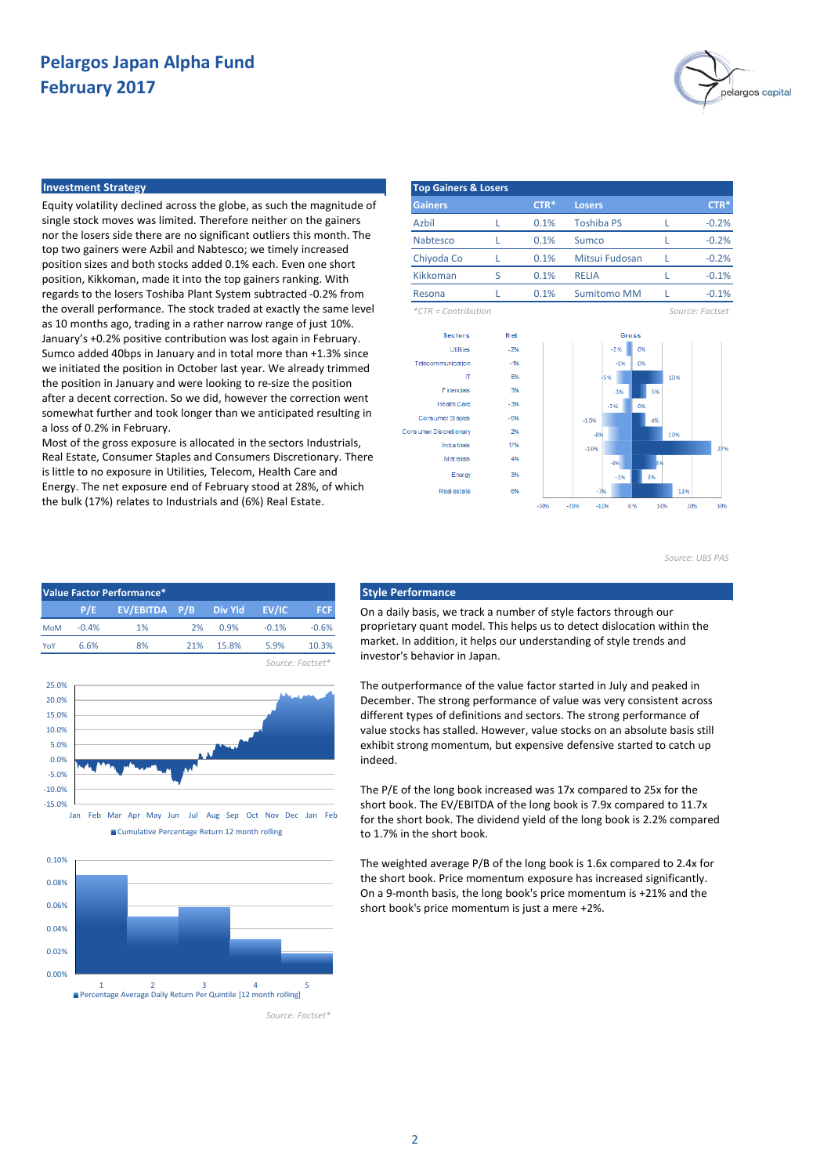

### **Investment Strategy**

Equity volatility declined across the globe, as such the magnitude of single stock moves was limited. Therefore neither on the gainers nor the losers side there are no significant outliers this month. The top two gainers were Azbil and Nabtesco; we timely increased position sizes and both stocks added 0.1% each. Even one short position, Kikkoman, made it into the top gainers ranking. With regards to the losers Toshiba Plant System subtracted -0.2% from the overall performance. The stock traded at exactly the same level as 10 months ago, trading in a rather narrow range of just 10%. January's +0.2% positive contribution was lost again in February. Sumco added 40bps in January and in total more than +1.3% since we initiated the position in October last year. We already trimmed the position in January and were looking to re-size the position after a decent correction. So we did, however the correction went somewhat further and took longer than we anticipated resulting in a loss of 0.2% in February.

Most of the gross exposure is allocated in the sectors Industrials, Real Estate, Consumer Staples and Consumers Discretionary. There is little to no exposure in Utilities, Telecom, Health Care and Energy. The net exposure end of February stood at 28%, of which the bulk (17%) relates to Industrials and (6%) Real Estate.

| <b>Top Gainers &amp; Losers</b> |   |        |                    |                 |
|---------------------------------|---|--------|--------------------|-----------------|
| <b>Gainers</b>                  |   | $CTR*$ | <b>Losers</b>      | $CTR*$          |
| Azbil                           |   | 0.1%   | <b>Toshiba PS</b>  | $-0.2%$         |
| Nabtesco                        |   | 0.1%   | Sumco              | $-0.2%$         |
| Chiyoda Co                      |   | 0.1%   | Mitsui Fudosan     | $-0.2%$         |
| Kikkoman                        | ς | 0.1%   | RELIA              | $-0.1%$         |
| Resona                          |   | 0.1%   | <b>Sumitomo MM</b> | $-0.1%$         |
| $*CTR = Contribution$           |   |        |                    | Source: Factset |



*Source: UBS PAS*









On a daily basis, we track a number of style factors through our proprietary quant model. This helps us to detect dislocation within the market. In addition, it helps our understanding of style trends and investor's behavior in Japan.

The outperformance of the value factor started in July and peaked in December. The strong performance of value was very consistent across different types of definitions and sectors. The strong performance of value stocks has stalled. However, value stocks on an absolute basis still exhibit strong momentum, but expensive defensive started to catch up indeed.

The P/E of the long book increased was 17x compared to 25x for the short book. The EV/EBITDA of the long book is 7.9x compared to 11.7x for the short book. The dividend yield of the long book is 2.2% compared to 1.7% in the short book.

The weighted average P/B of the long book is 1.6x compared to 2.4x for the short book. Price momentum exposure has increased significantly. On a 9-month basis, the long book's price momentum is +21% and the short book's price momentum is just a mere +2%.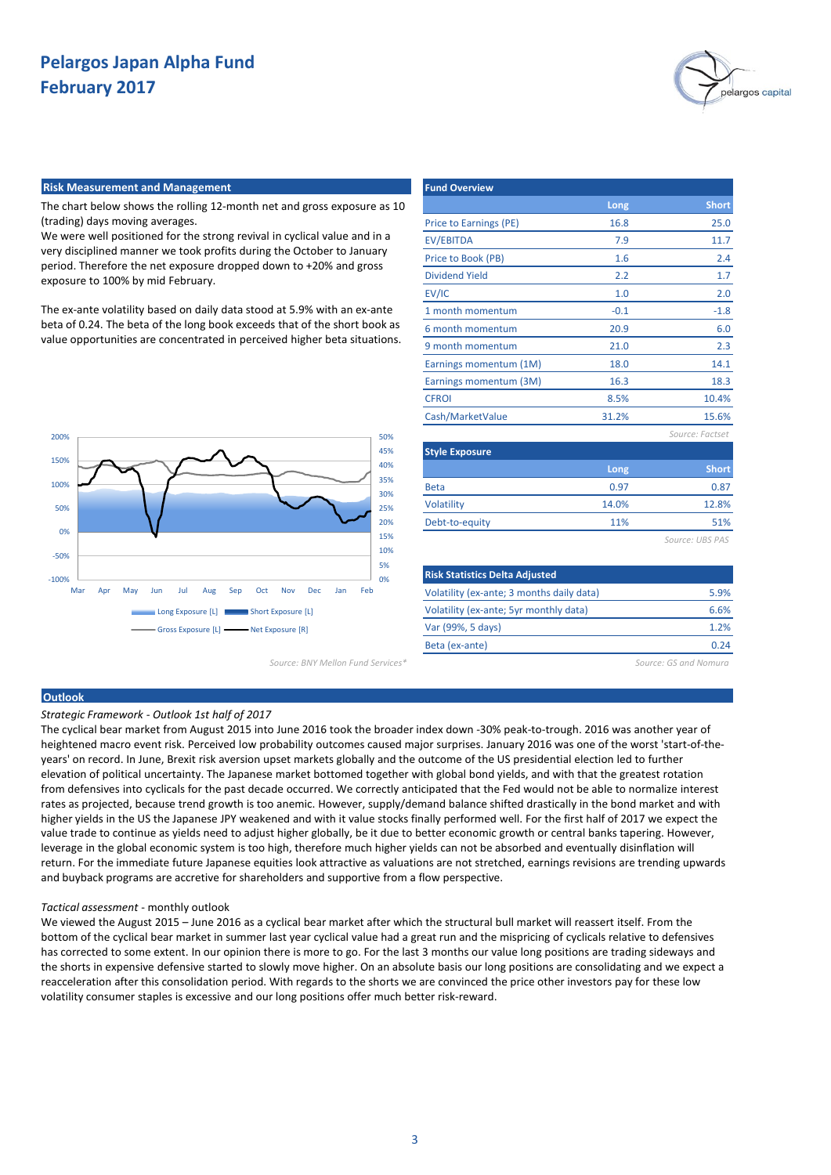

### **Risk Measurement and Management**

The chart below shows the rolling 12-month net and gross exposure as 10 (trading) days moving averages.

We were well positioned for the strong revival in cyclical value and in a very disciplined manner we took profits during the October to January period. Therefore the net exposure dropped down to +20% and gross exposure to 100% by mid February.

The ex-ante volatility based on daily data stood at 5.9% with an ex-ante beta of 0.24. The beta of the long book exceeds that of the short book as value opportunities are concentrated in perceived higher beta situations.



*Source: BNY Mellon Fund Services\* Source: GS and Nomura*

| <b>Fund Overview</b>   |        |                 |
|------------------------|--------|-----------------|
|                        | Long   | <b>Short</b>    |
| Price to Earnings (PE) | 16.8   | 25.0            |
| <b>EV/EBITDA</b>       | 7.9    | 11.7            |
| Price to Book (PB)     | 1.6    | 2.4             |
| <b>Dividend Yield</b>  | 2.2    | 1.7             |
| EV/IC                  | 1.0    | 2.0             |
| 1 month momentum       | $-0.1$ | $-1.8$          |
| 6 month momentum       | 20.9   | 6.0             |
| 9 month momentum       | 21.0   | 2.3             |
| Earnings momentum (1M) | 18.0   | 14.1            |
| Earnings momentum (3M) | 16.3   | 18.3            |
| <b>CFROI</b>           | 8.5%   | 10.4%           |
| Cash/MarketValue       | 31.2%  | 15.6%           |
|                        |        | Source: Factset |
| <b>Style Exposure</b>  |        |                 |
|                        | Long   | <b>Short</b>    |
| <b>Beta</b>            | 0.97   | 0.87            |
| Volatility             | 14.0%  | 12.8%           |
| Debt-to-equity         | 11%    | 51%             |
|                        |        | Source: UBS PAS |

| <b>Risk Statistics Delta Adjusted</b>     |      |
|-------------------------------------------|------|
| Volatility (ex-ante; 3 months daily data) | 5.9% |
| Volatility (ex-ante; 5yr monthly data)    | 6.6% |
| Var (99%, 5 days)                         | 1.2% |
| Beta (ex-ante)                            | በ ን4 |

## **Outlook**

*Strategic Framework - Outlook 1st half of 2017*

The cyclical bear market from August 2015 into June 2016 took the broader index down -30% peak-to-trough. 2016 was another year of heightened macro event risk. Perceived low probability outcomes caused major surprises. January 2016 was one of the worst 'start-of-theyears' on record. In June, Brexit risk aversion upset markets globally and the outcome of the US presidential election led to further elevation of political uncertainty. The Japanese market bottomed together with global bond yields, and with that the greatest rotation from defensives into cyclicals for the past decade occurred. We correctly anticipated that the Fed would not be able to normalize interest rates as projected, because trend growth is too anemic. However, supply/demand balance shifted drastically in the bond market and with higher yields in the US the Japanese JPY weakened and with it value stocks finally performed well. For the first half of 2017 we expect the value trade to continue as yields need to adjust higher globally, be it due to better economic growth or central banks tapering. However, leverage in the global economic system is too high, therefore much higher yields can not be absorbed and eventually disinflation will return. For the immediate future Japanese equities look attractive as valuations are not stretched, earnings revisions are trending upwards and buyback programs are accretive for shareholders and supportive from a flow perspective.

#### *Tactical assessment* - monthly outlook

We viewed the August 2015 – June 2016 as a cyclical bear market after which the structural bull market will reassert itself. From the bottom of the cyclical bear market in summer last year cyclical value had a great run and the mispricing of cyclicals relative to defensives has corrected to some extent. In our opinion there is more to go. For the last 3 months our value long positions are trading sideways and the shorts in expensive defensive started to slowly move higher. On an absolute basis our long positions are consolidating and we expect a reacceleration after this consolidation period. With regards to the shorts we are convinced the price other investors pay for these low volatility consumer staples is excessive and our long positions offer much better risk-reward.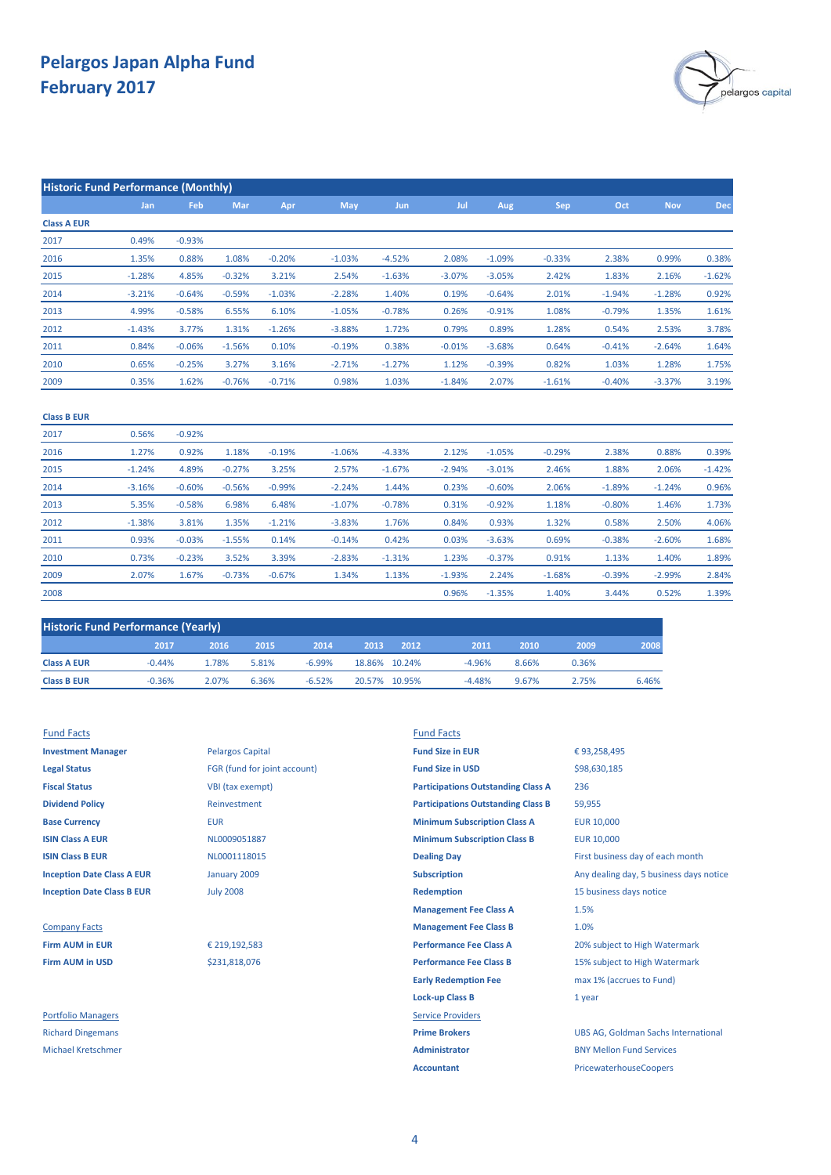

| <b>Historic Fund Performance (Monthly)</b> |            |          |          |          |          |            |          |          |          |          |            |                  |
|--------------------------------------------|------------|----------|----------|----------|----------|------------|----------|----------|----------|----------|------------|------------------|
|                                            | <b>Jan</b> | Feb      | Mar      | Apr      | May      | <b>Jun</b> | Jul      | Aug      | Sep      | Oct      | <b>Nov</b> | Dec <sub>1</sub> |
| <b>Class A EUR</b>                         |            |          |          |          |          |            |          |          |          |          |            |                  |
| 2017                                       | 0.49%      | $-0.93%$ |          |          |          |            |          |          |          |          |            |                  |
| 2016                                       | 1.35%      | 0.88%    | 1.08%    | $-0.20%$ | $-1.03%$ | $-4.52%$   | 2.08%    | $-1.09%$ | $-0.33%$ | 2.38%    | 0.99%      | 0.38%            |
| 2015                                       | $-1.28%$   | 4.85%    | $-0.32%$ | 3.21%    | 2.54%    | $-1.63%$   | $-3.07%$ | $-3.05%$ | 2.42%    | 1.83%    | 2.16%      | $-1.62%$         |
| 2014                                       | $-3.21%$   | $-0.64%$ | $-0.59%$ | $-1.03%$ | $-2.28%$ | 1.40%      | 0.19%    | $-0.64%$ | 2.01%    | $-1.94%$ | $-1.28%$   | 0.92%            |
| 2013                                       | 4.99%      | $-0.58%$ | 6.55%    | 6.10%    | $-1.05%$ | $-0.78%$   | 0.26%    | $-0.91%$ | 1.08%    | $-0.79%$ | 1.35%      | 1.61%            |
| 2012                                       | $-1.43%$   | 3.77%    | 1.31%    | $-1.26%$ | $-3.88%$ | 1.72%      | 0.79%    | 0.89%    | 1.28%    | 0.54%    | 2.53%      | 3.78%            |
| 2011                                       | 0.84%      | $-0.06%$ | $-1.56%$ | 0.10%    | $-0.19%$ | 0.38%      | $-0.01%$ | $-3.68%$ | 0.64%    | $-0.41%$ | $-2.64%$   | 1.64%            |
| 2010                                       | 0.65%      | $-0.25%$ | 3.27%    | 3.16%    | $-2.71%$ | $-1.27%$   | 1.12%    | $-0.39%$ | 0.82%    | 1.03%    | 1.28%      | 1.75%            |
| 2009                                       | 0.35%      | 1.62%    | $-0.76%$ | $-0.71%$ | 0.98%    | 1.03%      | $-1.84%$ | 2.07%    | $-1.61%$ | $-0.40%$ | $-3.37%$   | 3.19%            |
| <b>Class B EUR</b>                         |            |          |          |          |          |            |          |          |          |          |            |                  |
| 2017                                       | 0.56%      | $-0.92%$ |          |          |          |            |          |          |          |          |            |                  |
| 2016                                       | 1.27%      | 0.92%    | 1.18%    | $-0.19%$ | $-1.06%$ | $-4.33%$   | 2.12%    | $-1.05%$ | $-0.29%$ | 2.38%    | 0.88%      | 0.39%            |
| 2015                                       | $-1.24%$   | 4.89%    | $-0.27%$ | 3.25%    | 2.57%    | $-1.67%$   | $-2.94%$ | $-3.01%$ | 2.46%    | 1.88%    | 2.06%      | $-1.42%$         |
| 2014                                       | $-3.16%$   | $-0.60%$ | $-0.56%$ | $-0.99%$ | $-2.24%$ | 1.44%      | 0.23%    | $-0.60%$ | 2.06%    | $-1.89%$ | $-1.24%$   | 0.96%            |
| 2013                                       | 5.35%      | $-0.58%$ | 6.98%    | 6.48%    | $-1.07%$ | $-0.78%$   | 0.31%    | $-0.92%$ | 1.18%    | $-0.80%$ | 1.46%      | 1.73%            |
| 2012                                       | $-1.38%$   | 3.81%    | 1.35%    | $-1.21%$ | $-3.83%$ | 1.76%      | 0.84%    | 0.93%    | 1.32%    | 0.58%    | 2.50%      | 4.06%            |
| 2011                                       | 0.93%      | $-0.03%$ | $-1.55%$ | 0.14%    | $-0.14%$ | 0.42%      | 0.03%    | $-3.63%$ | 0.69%    | $-0.38%$ | $-2.60%$   | 1.68%            |
| 2010                                       | 0.73%      | $-0.23%$ | 3.52%    | 3.39%    | $-2.83%$ | $-1.31%$   | 1.23%    | $-0.37%$ | 0.91%    | 1.13%    | 1.40%      | 1.89%            |
| 2009                                       | 2.07%      | 1.67%    | $-0.73%$ | $-0.67%$ | 1.34%    | 1.13%      | $-1.93%$ | 2.24%    | $-1.68%$ | $-0.39%$ | $-2.99%$   | 2.84%            |

| <b>Historic Fund Performance (Yearly)</b> |          |       |       |          |      |               |          |       |       |       |
|-------------------------------------------|----------|-------|-------|----------|------|---------------|----------|-------|-------|-------|
|                                           | 2017     | 2016  | 2015  | 2014     | 2013 | 2012          | 2011     | 2010  | 2009  | 2008  |
| <b>Class A EUR</b>                        | $-0.44%$ | 1.78% | 5.81% | $-6.99%$ |      | 18.86% 10.24% | $-4.96%$ | 8.66% | 0.36% |       |
| <b>Class B EUR</b>                        | $-0.36%$ | 2.07% | 6.36% | $-6.52%$ |      | 20.57% 10.95% | $-4.48%$ | 9.67% | 2.75% | 6.46% |

2008

| <b>Investment Manager</b>         |
|-----------------------------------|
| <b>Legal Status</b>               |
| <b>Fiscal Status</b>              |
| <b>Dividend Policy</b>            |
| <b>Base Currency</b>              |
| <b>ISIN Class A EUR</b>           |
| <b>ISIN Class B EUR</b>           |
| <b>Inception Date Class A EUR</b> |
| <b>Inception Date Class B EUR</b> |

**Richard Dingemans Prime Brokers Prime Brokers Prime Brokers Prime Brokers** 

**Investment Manager** Pelargos Capital **Fund Size in EUR Legal Status** FGR (fund for joint account) **Fund Size in USD VBI** (tax exempt) **Dividend Policy** Reinvestment January 2009 July 2008

\$231,818,076

€ 219,192,583

Fund Facts Fund Facts **Base Currency <b>EUR** EUR **EUR EUR EUR EUR EUR EUR EUR EUR EUR EUR EUR EUR EUR EUR EUR EUR EUR EUR EUR EUR EUR EUR EUR EUR EUR EUR EUR EUR EUR EUR EUR EUR EUR ISIN Class A EUR EUR ISIN CLASS A EUR** 10,000 **MINIMUM Subscription Class B EUR** 10,000 **ISIN Class B EUR ISIN Class B EUR COLOUM ISIN Class B EUR COLOUM Dealing Day Einst business day of each month Inception Date Class A EUR Subscription Subscription** Any dealing day, 5 business days notice **Inception Date Class B EUR** *Due Defined All 2008* **<b>Redemption Redemption** 15 business days notice **Management Fee Class A Company Facts Management Fee Class B Firm AUM in EUR Performance Fee Class A Performance Fee Class A Performance Fee Class A Firm AUM in USD Performance Fee Class B** 15% subject to High Watermark States to High Watermark Watermark Watermark States to High Watermark States to High Watermark States to High Watermark States to High Watermark Sta **Early Redemption Fee Lock-up Class B** Portfolio Managers **Service Providers** Michael Kretschmer **Administrator** BNY Mellon Fund Services **Accountant** PricewaterhouseCoopers 1.5% 1.0% **Participations Outstanding Class B** 236 59,955 **Participations Outstanding Class A**

0.52%

0.96% -1.35% 1.39%

1.40%

3.44%